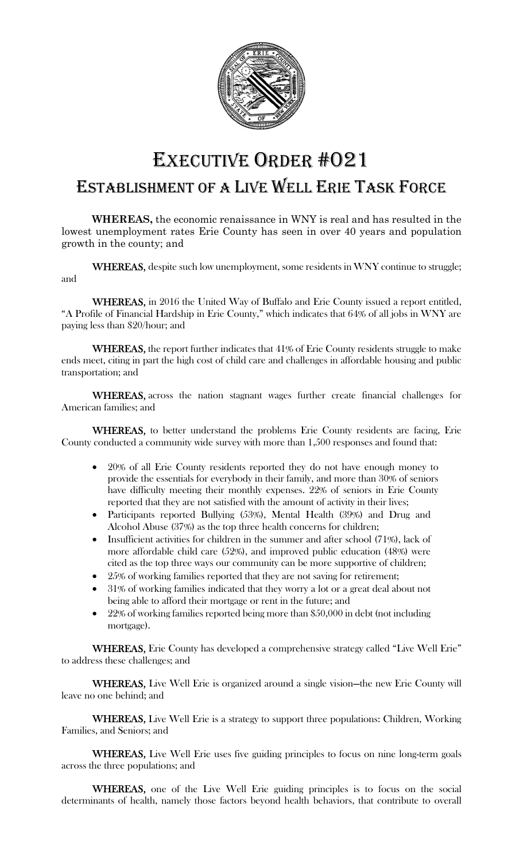

## EXECUTIVE ORDER #021 ESTABLISHMENT OF A LIVE WELL ERIE TASK FORCE

WHEREAS, the economic renaissance in WNY is real and has resulted in the lowest unemployment rates Erie County has seen in over 40 years and population growth in the county; and

WHEREAS, despite such low unemployment, some residents in WNY continue to struggle; and

WHEREAS, in 2016 the United Way of Buffalo and Erie County issued a report entitled, "A Profile of Financial Hardship in Erie County," which indicates that 64% of all jobs in WNY are paying less than \$20/hour; and

WHEREAS, the report further indicates that 41% of Erie County residents struggle to make ends meet, citing in part the high cost of child care and challenges in affordable housing and public transportation; and

WHEREAS, across the nation stagnant wages further create financial challenges for American families; and

WHEREAS, to better understand the problems Erie County residents are facing, Erie County conducted a community wide survey with more than 1,500 responses and found that:

- 20% of all Erie County residents reported they do not have enough money to provide the essentials for everybody in their family, and more than 30% of seniors have difficulty meeting their monthly expenses. 22% of seniors in Erie County reported that they are not satisfied with the amount of activity in their lives;
- Participants reported Bullying (53%), Mental Health (39%) and Drug and Alcohol Abuse (37%) as the top three health concerns for children;
- Insufficient activities for children in the summer and after school (71%), lack of more affordable child care (52%), and improved public education (48%) were cited as the top three ways our community can be more supportive of children;
- 25% of working families reported that they are not saving for retirement;
- 31% of working families indicated that they worry a lot or a great deal about not being able to afford their mortgage or rent in the future; and
- 22% of working families reported being more than \$50,000 in debt (not including mortgage).

WHEREAS, Erie County has developed a comprehensive strategy called "Live Well Erie" to address these challenges; and

WHEREAS, Live Well Erie is organized around a single vision—the new Erie County will leave no one behind; and

WHEREAS, Live Well Erie is a strategy to support three populations: Children, Working Families, and Seniors; and

WHEREAS, Live Well Erie uses five guiding principles to focus on nine long-term goals across the three populations; and

WHEREAS, one of the Live Well Erie guiding principles is to focus on the social determinants of health, namely those factors beyond health behaviors, that contribute to overall